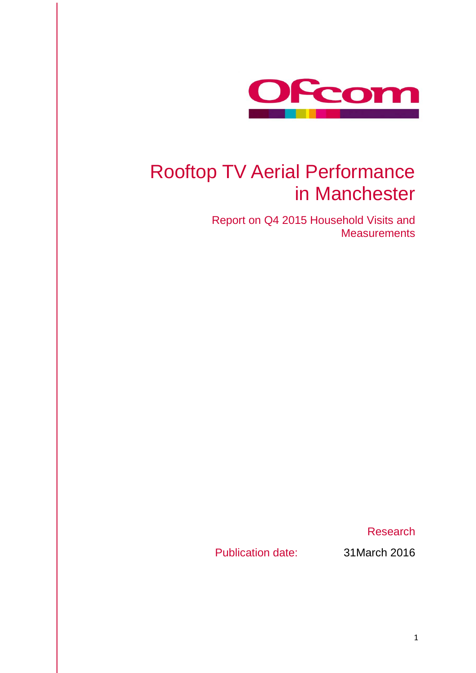

## Rooftop TV Aerial Performance in Manchester

Report on Q4 2015 Household Visits and **Measurements** 

Research

Publication date: 31March 2016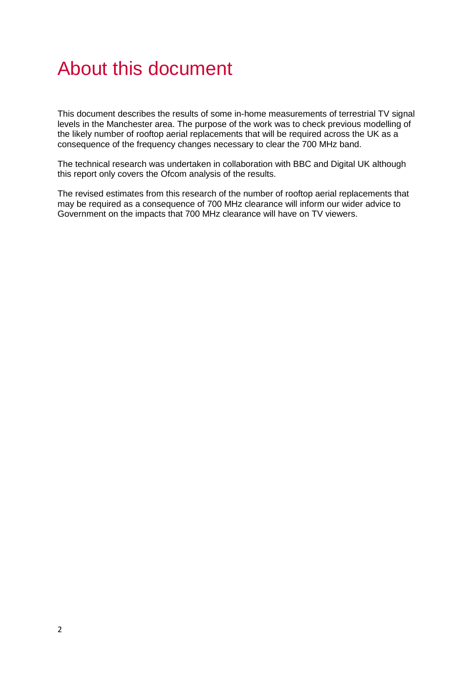## About this document

This document describes the results of some in-home measurements of terrestrial TV signal levels in the Manchester area. The purpose of the work was to check previous modelling of the likely number of rooftop aerial replacements that will be required across the UK as a consequence of the frequency changes necessary to clear the 700 MHz band.

The technical research was undertaken in collaboration with BBC and Digital UK although this report only covers the Ofcom analysis of the results.

The revised estimates from this research of the number of rooftop aerial replacements that may be required as a consequence of 700 MHz clearance will inform our wider advice to Government on the impacts that 700 MHz clearance will have on TV viewers.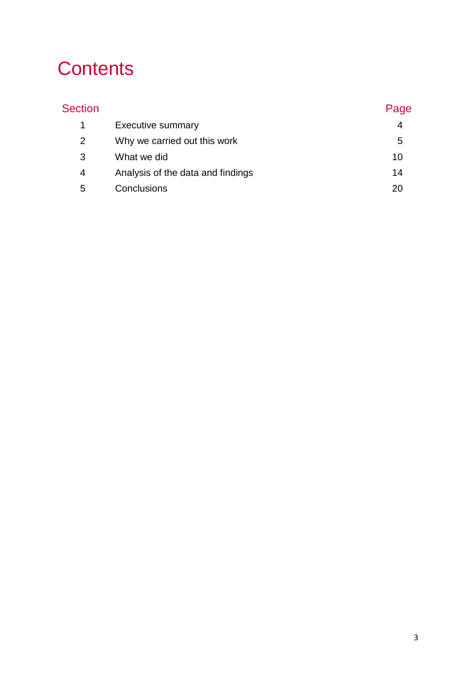# **Contents**

| <b>Section</b> |                                   | Page |
|----------------|-----------------------------------|------|
|                | <b>Executive summary</b>          | 4    |
| 2              | Why we carried out this work      | 5    |
| 3              | What we did                       | 10   |
| 4              | Analysis of the data and findings | 14   |
| 5              | Conclusions                       |      |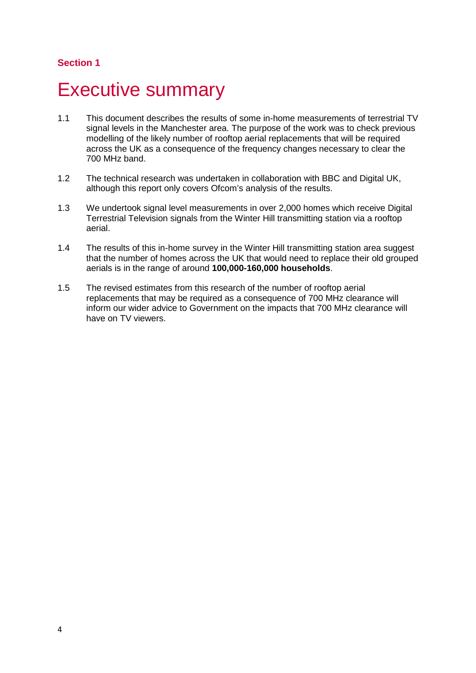## <span id="page-3-0"></span>**Executive summary**

- 1.1 This document describes the results of some in-home measurements of terrestrial TV signal levels in the Manchester area. The purpose of the work was to check previous modelling of the likely number of rooftop aerial replacements that will be required across the UK as a consequence of the frequency changes necessary to clear the 700 MHz band.
- 1.2 The technical research was undertaken in collaboration with BBC and Digital UK, although this report only covers Ofcom's analysis of the results.
- 1.3 We undertook signal level measurements in over 2,000 homes which receive Digital Terrestrial Television signals from the Winter Hill transmitting station via a rooftop aerial.
- 1.4 The results of this in-home survey in the Winter Hill transmitting station area suggest that the number of homes across the UK that would need to replace their old grouped aerials is in the range of around **100,000-160,000 households**.
- 1.5 The revised estimates from this research of the number of rooftop aerial replacements that may be required as a consequence of 700 MHz clearance will inform our wider advice to Government on the impacts that 700 MHz clearance will have on TV viewers.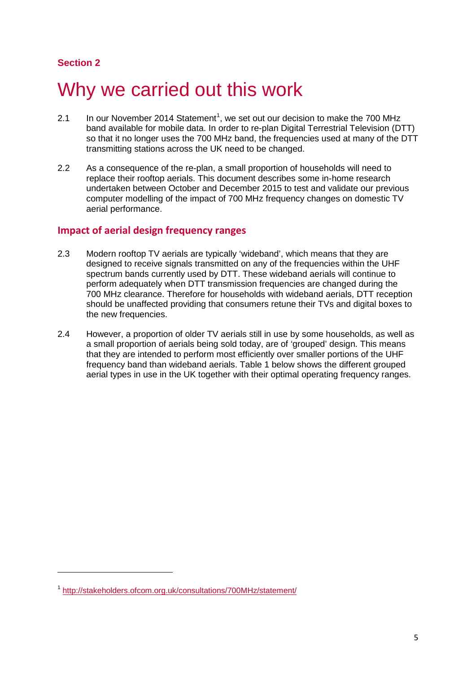$\overline{a}$ 

## <span id="page-4-0"></span>Why we carried out this work

- 2.[1](#page-4-1) In our November 2014 Statement<sup>1</sup>, we set out our decision to make the 700 MHz band available for mobile data. In order to re-plan Digital Terrestrial Television (DTT) so that it no longer uses the 700 MHz band, the frequencies used at many of the DTT transmitting stations across the UK need to be changed.
- 2.2 As a consequence of the re-plan, a small proportion of households will need to replace their rooftop aerials. This document describes some in-home research undertaken between October and December 2015 to test and validate our previous computer modelling of the impact of 700 MHz frequency changes on domestic TV aerial performance.

#### **Impact of aerial design frequency ranges**

- 2.3 Modern rooftop TV aerials are typically 'wideband', which means that they are designed to receive signals transmitted on any of the frequencies within the UHF spectrum bands currently used by DTT. These wideband aerials will continue to perform adequately when DTT transmission frequencies are changed during the 700 MHz clearance. Therefore for households with wideband aerials, DTT reception should be unaffected providing that consumers retune their TVs and digital boxes to the new frequencies.
- 2.4 However, a proportion of older TV aerials still in use by some households, as well as a small proportion of aerials being sold today, are of 'grouped' design. This means that they are intended to perform most efficiently over smaller portions of the UHF frequency band than wideband aerials. Table 1 below shows the different grouped aerial types in use in the UK together with their optimal operating frequency ranges.

<span id="page-4-1"></span><sup>1</sup> <http://stakeholders.ofcom.org.uk/consultations/700MHz/statement/>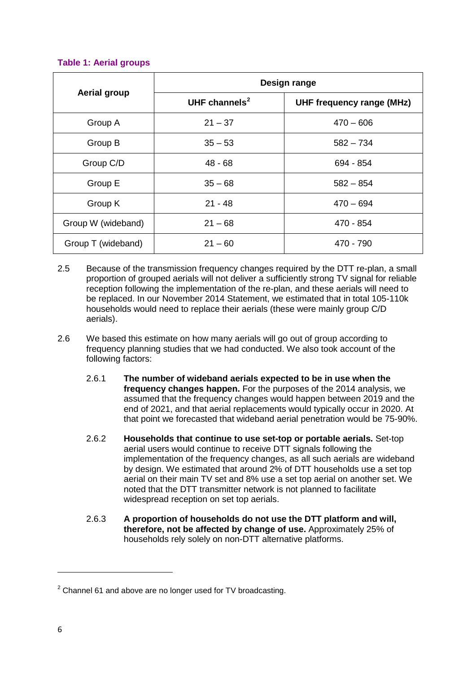#### **Table 1: Aerial groups**

|                     | Design range     |                                  |  |  |
|---------------------|------------------|----------------------------------|--|--|
| <b>Aerial group</b> | UHF channels $2$ | <b>UHF frequency range (MHz)</b> |  |  |
| Group A             | $21 - 37$        | $470 - 606$                      |  |  |
| Group B             | $35 - 53$        | $582 - 734$                      |  |  |
| Group C/D           | $48 - 68$        | 694 - 854                        |  |  |
| Group E             | $35 - 68$        | $582 - 854$                      |  |  |
| Group K             | $21 - 48$        | $470 - 694$                      |  |  |
| Group W (wideband)  | $21 - 68$        | 470 - 854                        |  |  |
| Group T (wideband)  | $21 - 60$        | 470 - 790                        |  |  |

- 2.5 Because of the transmission frequency changes required by the DTT re-plan, a small proportion of grouped aerials will not deliver a sufficiently strong TV signal for reliable reception following the implementation of the re-plan, and these aerials will need to be replaced. In our November 2014 Statement, we estimated that in total 105-110k households would need to replace their aerials (these were mainly group C/D aerials).
- 2.6 We based this estimate on how many aerials will go out of group according to frequency planning studies that we had conducted. We also took account of the following factors:
	- 2.6.1 **The number of wideband aerials expected to be in use when the frequency changes happen.** For the purposes of the 2014 analysis, we assumed that the frequency changes would happen between 2019 and the end of 2021, and that aerial replacements would typically occur in 2020. At that point we forecasted that wideband aerial penetration would be 75-90%.
	- 2.6.2 **Households that continue to use set-top or portable aerials.** Set-top aerial users would continue to receive DTT signals following the implementation of the frequency changes, as all such aerials are wideband by design. We estimated that around 2% of DTT households use a set top aerial on their main TV set and 8% use a set top aerial on another set. We noted that the DTT transmitter network is not planned to facilitate widespread reception on set top aerials.
	- 2.6.3 **A proportion of households do not use the DTT platform and will, therefore, not be affected by change of use.** Approximately 25% of households rely solely on non-DTT alternative platforms.

 $\overline{a}$ 

<span id="page-5-0"></span> $2$  Channel 61 and above are no longer used for TV broadcasting.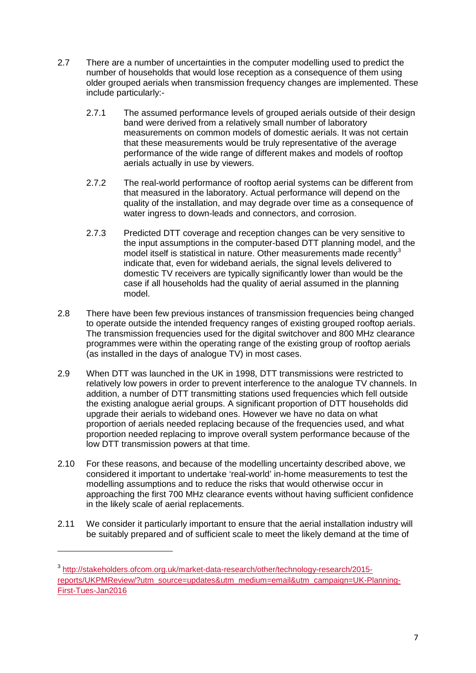- 2.7 There are a number of uncertainties in the computer modelling used to predict the number of households that would lose reception as a consequence of them using older grouped aerials when transmission frequency changes are implemented. These include particularly:-
	- 2.7.1 The assumed performance levels of grouped aerials outside of their design band were derived from a relatively small number of laboratory measurements on common models of domestic aerials. It was not certain that these measurements would be truly representative of the average performance of the wide range of different makes and models of rooftop aerials actually in use by viewers.
	- 2.7.2 The real-world performance of rooftop aerial systems can be different from that measured in the laboratory. Actual performance will depend on the quality of the installation, and may degrade over time as a consequence of water ingress to down-leads and connectors, and corrosion.
	- 2.7.3 Predicted DTT coverage and reception changes can be very sensitive to the input assumptions in the computer-based DTT planning model, and the model itself is statistical in nature. Other measurements made recently $3$ indicate that, even for wideband aerials, the signal levels delivered to domestic TV receivers are typically significantly lower than would be the case if all households had the quality of aerial assumed in the planning model.
- 2.8 There have been few previous instances of transmission frequencies being changed to operate outside the intended frequency ranges of existing grouped rooftop aerials. The transmission frequencies used for the digital switchover and 800 MHz clearance programmes were within the operating range of the existing group of rooftop aerials (as installed in the days of analogue TV) in most cases.
- 2.9 When DTT was launched in the UK in 1998, DTT transmissions were restricted to relatively low powers in order to prevent interference to the analogue TV channels. In addition, a number of DTT transmitting stations used frequencies which fell outside the existing analogue aerial groups. A significant proportion of DTT households did upgrade their aerials to wideband ones. However we have no data on what proportion of aerials needed replacing because of the frequencies used, and what proportion needed replacing to improve overall system performance because of the low DTT transmission powers at that time.
- 2.10 For these reasons, and because of the modelling uncertainty described above, we considered it important to undertake 'real-world' in-home measurements to test the modelling assumptions and to reduce the risks that would otherwise occur in approaching the first 700 MHz clearance events without having sufficient confidence in the likely scale of aerial replacements.
- 2.11 We consider it particularly important to ensure that the aerial installation industry will be suitably prepared and of sufficient scale to meet the likely demand at the time of

**.** 

<span id="page-6-0"></span><sup>3</sup> [http://stakeholders.ofcom.org.uk/market-data-research/other/technology-research/2015](http://stakeholders.ofcom.org.uk/market-data-research/other/technology-research/2015-reports/UKPMReview/?utm_source=updates&utm_medium=email&utm_campaign=UK-Planning-First-Tues-Jan2016) [reports/UKPMReview/?utm\\_source=updates&utm\\_medium=email&utm\\_campaign=UK-Planning-](http://stakeholders.ofcom.org.uk/market-data-research/other/technology-research/2015-reports/UKPMReview/?utm_source=updates&utm_medium=email&utm_campaign=UK-Planning-First-Tues-Jan2016)[First-Tues-Jan2016](http://stakeholders.ofcom.org.uk/market-data-research/other/technology-research/2015-reports/UKPMReview/?utm_source=updates&utm_medium=email&utm_campaign=UK-Planning-First-Tues-Jan2016)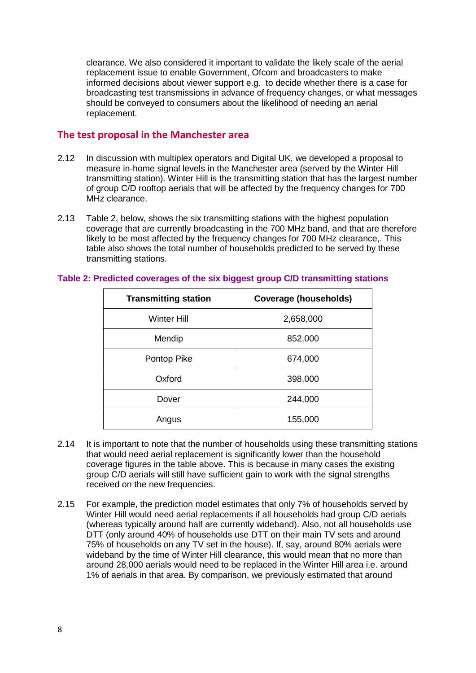clearance. We also considered it important to validate the likely scale of the aerial replacement issue to enable Government, Ofcom and broadcasters to make informed decisions about viewer support e.g. to decide whether there is a case for broadcasting test transmissions in advance of frequency changes, or what messages should be conveyed to consumers about the likelihood of needing an aerial replacement.

### **The test proposal in the Manchester area**

- 2.12 In discussion with multiplex operators and Digital UK, we developed a proposal to measure in-home signal levels in the Manchester area (served by the Winter Hill transmitting station). Winter Hill is the transmitting station that has the largest number of group C/D rooftop aerials that will be affected by the frequency changes for 700 MHz clearance.
- 2.13 Table 2, below, shows the six transmitting stations with the highest population coverage that are currently broadcasting in the 700 MHz band, and that are therefore likely to be most affected by the frequency changes for 700 MHz clearance,. This table also shows the total number of households predicted to be served by these transmitting stations.

| <b>Transmitting station</b> | <b>Coverage (households)</b> |  |  |
|-----------------------------|------------------------------|--|--|
| <b>Winter Hill</b>          | 2,658,000                    |  |  |
| Mendip                      | 852,000                      |  |  |
| Pontop Pike                 | 674,000                      |  |  |
| Oxford                      | 398,000                      |  |  |
| Dover                       | 244,000                      |  |  |
| Angus                       | 155,000                      |  |  |

#### **Table 2: Predicted coverages of the six biggest group C/D transmitting stations**

- 2.14 It is important to note that the number of households using these transmitting stations that would need aerial replacement is significantly lower than the household coverage figures in the table above. This is because in many cases the existing group C/D aerials will still have sufficient gain to work with the signal strengths received on the new frequencies.
- 2.15 For example, the prediction model estimates that only 7% of households served by Winter Hill would need aerial replacements if all households had group C/D aerials (whereas typically around half are currently wideband). Also, not all households use DTT (only around 40% of households use DTT on their main TV sets and around 75% of households on any TV set in the house). If, say, around 80% aerials were wideband by the time of Winter Hill clearance, this would mean that no more than around 28,000 aerials would need to be replaced in the Winter Hill area i.e. around 1% of aerials in that area. By comparison, we previously estimated that around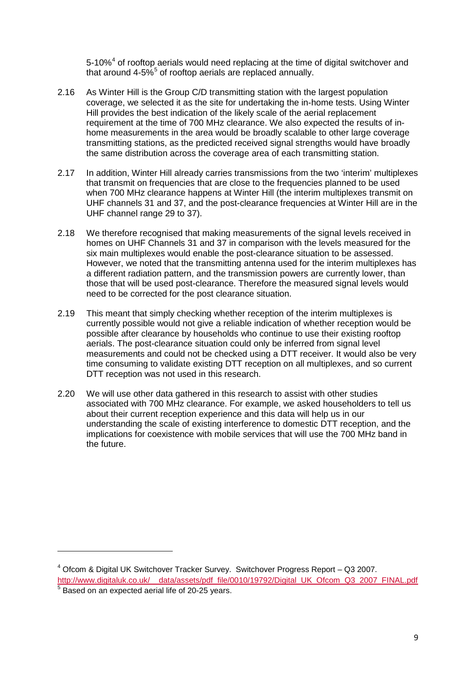5-10%<sup>[4](#page-8-0)</sup> of rooftop aerials would need replacing at the time of digital switchover and that around  $4-5\%$  $4-5\%$  $4-5\%$ <sup>5</sup> of rooftop aerials are replaced annually.

- 2.16 As Winter Hill is the Group C/D transmitting station with the largest population coverage, we selected it as the site for undertaking the in-home tests. Using Winter Hill provides the best indication of the likely scale of the aerial replacement requirement at the time of 700 MHz clearance. We also expected the results of inhome measurements in the area would be broadly scalable to other large coverage transmitting stations, as the predicted received signal strengths would have broadly the same distribution across the coverage area of each transmitting station.
- 2.17 In addition, Winter Hill already carries transmissions from the two 'interim' multiplexes that transmit on frequencies that are close to the frequencies planned to be used when 700 MHz clearance happens at Winter Hill (the interim multiplexes transmit on UHF channels 31 and 37, and the post-clearance frequencies at Winter Hill are in the UHF channel range 29 to 37).
- 2.18 We therefore recognised that making measurements of the signal levels received in homes on UHF Channels 31 and 37 in comparison with the levels measured for the six main multiplexes would enable the post-clearance situation to be assessed. However, we noted that the transmitting antenna used for the interim multiplexes has a different radiation pattern, and the transmission powers are currently lower, than those that will be used post-clearance. Therefore the measured signal levels would need to be corrected for the post clearance situation.
- 2.19 This meant that simply checking whether reception of the interim multiplexes is currently possible would not give a reliable indication of whether reception would be possible after clearance by households who continue to use their existing rooftop aerials. The post-clearance situation could only be inferred from signal level measurements and could not be checked using a DTT receiver. It would also be very time consuming to validate existing DTT reception on all multiplexes, and so current DTT reception was not used in this research.
- 2.20 We will use other data gathered in this research to assist with other studies associated with 700 MHz clearance. For example, we asked householders to tell us about their current reception experience and this data will help us in our understanding the scale of existing interference to domestic DTT reception, and the implications for coexistence with mobile services that will use the 700 MHz band in the future.

**.** 

<span id="page-8-1"></span><span id="page-8-0"></span><sup>4</sup> Ofcom & Digital UK Switchover Tracker Survey. Switchover Progress Report – Q3 2007. http://www.digitaluk.co.uk/ data/assets/pdf\_file/0010/19792/Digital\_UK\_Ofcom\_Q3\_2007\_FINAL.pdf  $<sup>5</sup>$  Based on an expected aerial life of 20-25 years.</sup>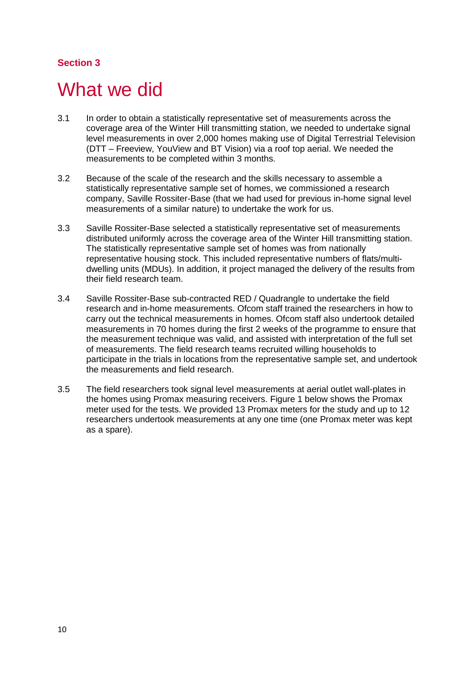## <span id="page-9-0"></span>What we did

- 3.1 In order to obtain a statistically representative set of measurements across the coverage area of the Winter Hill transmitting station, we needed to undertake signal level measurements in over 2,000 homes making use of Digital Terrestrial Television (DTT – Freeview, YouView and BT Vision) via a roof top aerial. We needed the measurements to be completed within 3 months.
- 3.2 Because of the scale of the research and the skills necessary to assemble a statistically representative sample set of homes, we commissioned a research company, Saville Rossiter-Base (that we had used for previous in-home signal level measurements of a similar nature) to undertake the work for us.
- 3.3 Saville Rossiter-Base selected a statistically representative set of measurements distributed uniformly across the coverage area of the Winter Hill transmitting station. The statistically representative sample set of homes was from nationally representative housing stock. This included representative numbers of flats/multidwelling units (MDUs). In addition, it project managed the delivery of the results from their field research team.
- 3.4 Saville Rossiter-Base sub-contracted RED / Quadrangle to undertake the field research and in-home measurements. Ofcom staff trained the researchers in how to carry out the technical measurements in homes. Ofcom staff also undertook detailed measurements in 70 homes during the first 2 weeks of the programme to ensure that the measurement technique was valid, and assisted with interpretation of the full set of measurements. The field research teams recruited willing households to participate in the trials in locations from the representative sample set, and undertook the measurements and field research.
- 3.5 The field researchers took signal level measurements at aerial outlet wall-plates in the homes using Promax measuring receivers. Figure 1 below shows the Promax meter used for the tests. We provided 13 Promax meters for the study and up to 12 researchers undertook measurements at any one time (one Promax meter was kept as a spare).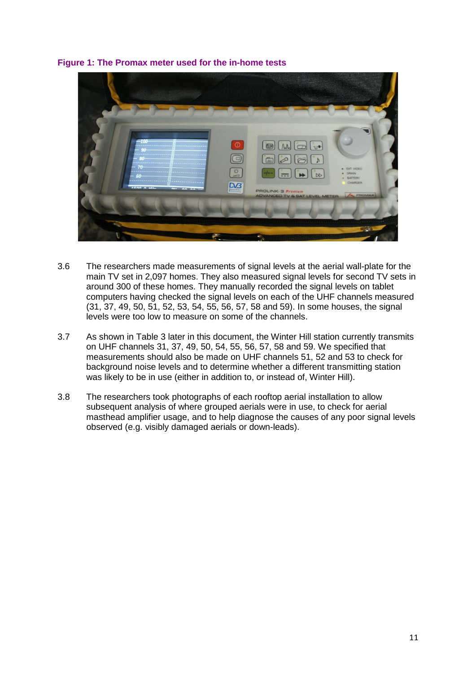#### **Figure 1: The Promax meter used for the in-home tests**



- 3.6 The researchers made measurements of signal levels at the aerial wall-plate for the main TV set in 2,097 homes. They also measured signal levels for second TV sets in around 300 of these homes. They manually recorded the signal levels on tablet computers having checked the signal levels on each of the UHF channels measured (31, 37, 49, 50, 51, 52, 53, 54, 55, 56, 57, 58 and 59). In some houses, the signal levels were too low to measure on some of the channels.
- 3.7 As shown in Table 3 later in this document, the Winter Hill station currently transmits on UHF channels 31, 37, 49, 50, 54, 55, 56, 57, 58 and 59. We specified that measurements should also be made on UHF channels 51, 52 and 53 to check for background noise levels and to determine whether a different transmitting station was likely to be in use (either in addition to, or instead of, Winter Hill).
- 3.8 The researchers took photographs of each rooftop aerial installation to allow subsequent analysis of where grouped aerials were in use, to check for aerial masthead amplifier usage, and to help diagnose the causes of any poor signal levels observed (e.g. visibly damaged aerials or down-leads).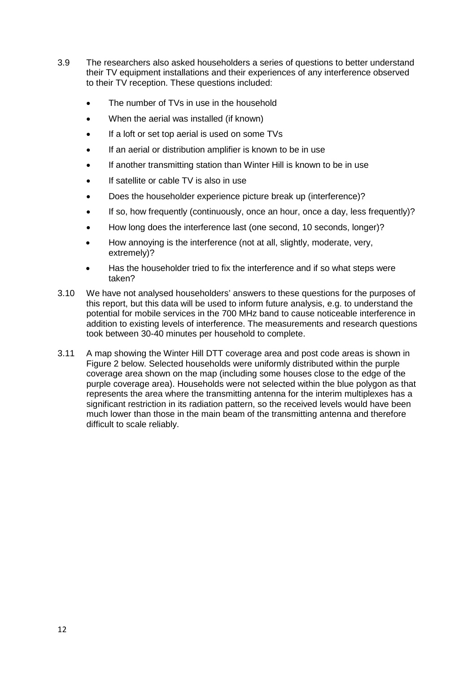- 3.9 The researchers also asked householders a series of questions to better understand their TV equipment installations and their experiences of any interference observed to their TV reception. These questions included:
	- The number of TVs in use in the household
	- When the aerial was installed (if known)
	- If a loft or set top aerial is used on some TVs
	- If an aerial or distribution amplifier is known to be in use
	- If another transmitting station than Winter Hill is known to be in use
	- If satellite or cable TV is also in use
	- Does the householder experience picture break up (interference)?
	- If so, how frequently (continuously, once an hour, once a day, less frequently)?
	- How long does the interference last (one second, 10 seconds, longer)?
	- How annoying is the interference (not at all, slightly, moderate, very, extremely)?
	- Has the householder tried to fix the interference and if so what steps were taken?
- 3.10 We have not analysed householders' answers to these questions for the purposes of this report, but this data will be used to inform future analysis, e.g. to understand the potential for mobile services in the 700 MHz band to cause noticeable interference in addition to existing levels of interference. The measurements and research questions took between 30-40 minutes per household to complete.
- 3.11 A map showing the Winter Hill DTT coverage area and post code areas is shown in Figure 2 below. Selected households were uniformly distributed within the purple coverage area shown on the map (including some houses close to the edge of the purple coverage area). Households were not selected within the blue polygon as that represents the area where the transmitting antenna for the interim multiplexes has a significant restriction in its radiation pattern, so the received levels would have been much lower than those in the main beam of the transmitting antenna and therefore difficult to scale reliably.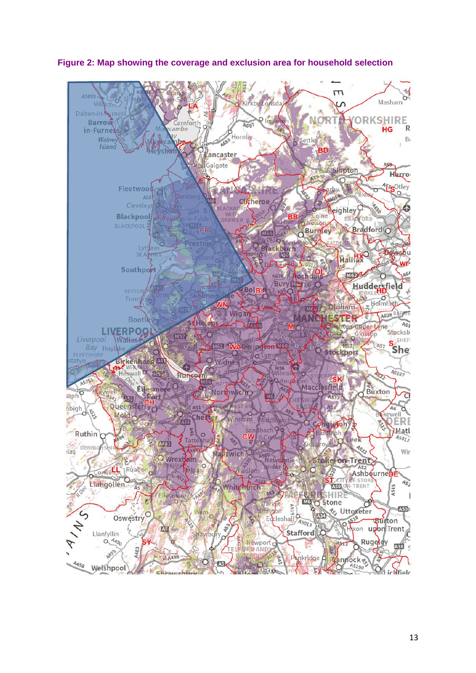

**Figure 2: Map showing the coverage and exclusion area for household selection**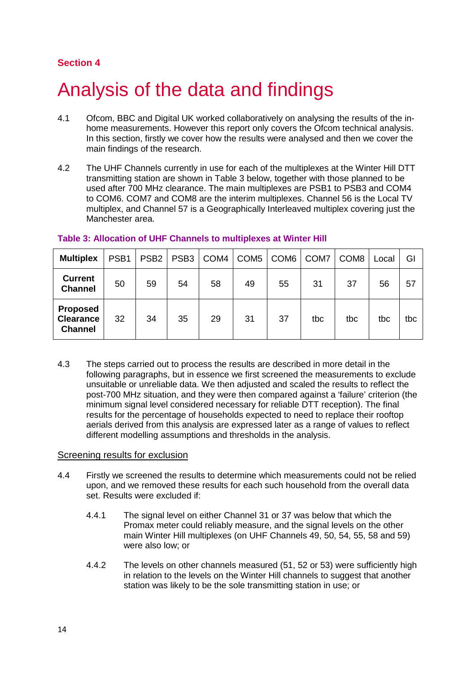# <span id="page-13-0"></span>4 Analysis of the data and findings

- 4.1 Ofcom, BBC and Digital UK worked collaboratively on analysing the results of the inhome measurements. However this report only covers the Ofcom technical analysis. In this section, firstly we cover how the results were analysed and then we cover the main findings of the research.
- 4.2 The UHF Channels currently in use for each of the multiplexes at the Winter Hill DTT transmitting station are shown in Table 3 below, together with those planned to be used after 700 MHz clearance. The main multiplexes are PSB1 to PSB3 and COM4 to COM6. COM7 and COM8 are the interim multiplexes. Channel 56 is the Local TV multiplex, and Channel 57 is a Geographically Interleaved multiplex covering just the Manchester area.

| <b>Multiplex</b>                                      | PSB <sub>1</sub> | PSB <sub>2</sub> | PSB <sub>3</sub> | COM4 | COM <sub>5</sub> | COM <sub>6</sub> | COM7 | COM <sub>8</sub> | Local | GI  |
|-------------------------------------------------------|------------------|------------------|------------------|------|------------------|------------------|------|------------------|-------|-----|
| <b>Current</b><br><b>Channel</b>                      | 50               | 59               | 54               | 58   | 49               | 55               | 31   | 37               | 56    | 57  |
| <b>Proposed</b><br><b>Clearance</b><br><b>Channel</b> | 32               | 34               | 35               | 29   | 31               | 37               | tbc  | tbc              | tbc   | tbc |

#### **Table 3: Allocation of UHF Channels to multiplexes at Winter Hill**

4.3 The steps carried out to process the results are described in more detail in the following paragraphs, but in essence we first screened the measurements to exclude unsuitable or unreliable data. We then adjusted and scaled the results to reflect the post-700 MHz situation, and they were then compared against a 'failure' criterion (the minimum signal level considered necessary for reliable DTT reception). The final results for the percentage of households expected to need to replace their rooftop aerials derived from this analysis are expressed later as a range of values to reflect different modelling assumptions and thresholds in the analysis.

#### Screening results for exclusion

- 4.4 Firstly we screened the results to determine which measurements could not be relied upon, and we removed these results for each such household from the overall data set. Results were excluded if:
	- 4.4.1 The signal level on either Channel 31 or 37 was below that which the Promax meter could reliably measure, and the signal levels on the other main Winter Hill multiplexes (on UHF Channels 49, 50, 54, 55, 58 and 59) were also low; or
	- 4.4.2 The levels on other channels measured (51, 52 or 53) were sufficiently high in relation to the levels on the Winter Hill channels to suggest that another station was likely to be the sole transmitting station in use; or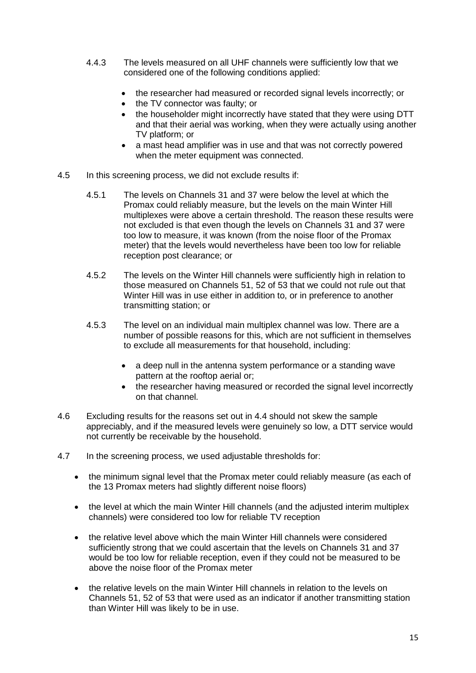- 4.4.3 The levels measured on all UHF channels were sufficiently low that we considered one of the following conditions applied:
	- the researcher had measured or recorded signal levels incorrectly; or
	- the TV connector was faulty; or
	- the householder might incorrectly have stated that they were using DTT and that their aerial was working, when they were actually using another TV platform; or
	- a mast head amplifier was in use and that was not correctly powered when the meter equipment was connected.
- 4.5 In this screening process, we did not exclude results if:
	- 4.5.1 The levels on Channels 31 and 37 were below the level at which the Promax could reliably measure, but the levels on the main Winter Hill multiplexes were above a certain threshold. The reason these results were not excluded is that even though the levels on Channels 31 and 37 were too low to measure, it was known (from the noise floor of the Promax meter) that the levels would nevertheless have been too low for reliable reception post clearance; or
	- 4.5.2 The levels on the Winter Hill channels were sufficiently high in relation to those measured on Channels 51, 52 of 53 that we could not rule out that Winter Hill was in use either in addition to, or in preference to another transmitting station; or
	- 4.5.3 The level on an individual main multiplex channel was low. There are a number of possible reasons for this, which are not sufficient in themselves to exclude all measurements for that household, including:
		- a deep null in the antenna system performance or a standing wave pattern at the rooftop aerial or;
		- the researcher having measured or recorded the signal level incorrectly on that channel.
- 4.6 Excluding results for the reasons set out in 4.4 should not skew the sample appreciably, and if the measured levels were genuinely so low, a DTT service would not currently be receivable by the household.
- 4.7 In the screening process, we used adjustable thresholds for:
	- the minimum signal level that the Promax meter could reliably measure (as each of the 13 Promax meters had slightly different noise floors)
	- the level at which the main Winter Hill channels (and the adjusted interim multiplex channels) were considered too low for reliable TV reception
	- the relative level above which the main Winter Hill channels were considered sufficiently strong that we could ascertain that the levels on Channels 31 and 37 would be too low for reliable reception, even if they could not be measured to be above the noise floor of the Promax meter
	- the relative levels on the main Winter Hill channels in relation to the levels on Channels 51, 52 of 53 that were used as an indicator if another transmitting station than Winter Hill was likely to be in use.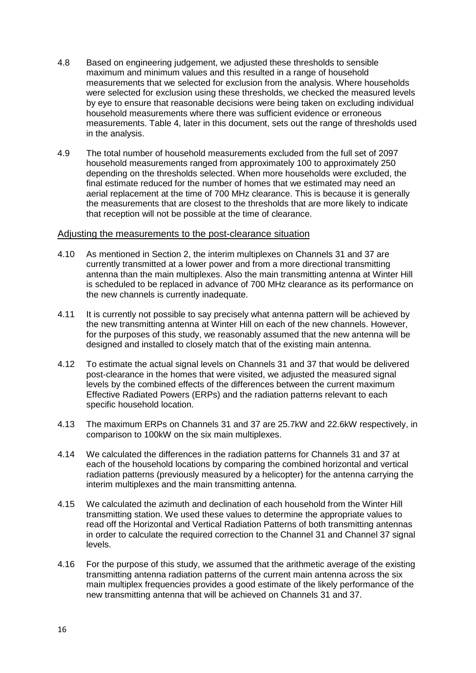- 4.8 Based on engineering judgement, we adjusted these thresholds to sensible maximum and minimum values and this resulted in a range of household measurements that we selected for exclusion from the analysis. Where households were selected for exclusion using these thresholds, we checked the measured levels by eye to ensure that reasonable decisions were being taken on excluding individual household measurements where there was sufficient evidence or erroneous measurements. Table 4, later in this document, sets out the range of thresholds used in the analysis.
- 4.9 The total number of household measurements excluded from the full set of 2097 household measurements ranged from approximately 100 to approximately 250 depending on the thresholds selected. When more households were excluded, the final estimate reduced for the number of homes that we estimated may need an aerial replacement at the time of 700 MHz clearance. This is because it is generally the measurements that are closest to the thresholds that are more likely to indicate that reception will not be possible at the time of clearance.

#### Adjusting the measurements to the post-clearance situation

- 4.10 As mentioned in Section 2, the interim multiplexes on Channels 31 and 37 are currently transmitted at a lower power and from a more directional transmitting antenna than the main multiplexes. Also the main transmitting antenna at Winter Hill is scheduled to be replaced in advance of 700 MHz clearance as its performance on the new channels is currently inadequate.
- 4.11 It is currently not possible to say precisely what antenna pattern will be achieved by the new transmitting antenna at Winter Hill on each of the new channels. However, for the purposes of this study, we reasonably assumed that the new antenna will be designed and installed to closely match that of the existing main antenna.
- 4.12 To estimate the actual signal levels on Channels 31 and 37 that would be delivered post-clearance in the homes that were visited, we adjusted the measured signal levels by the combined effects of the differences between the current maximum Effective Radiated Powers (ERPs) and the radiation patterns relevant to each specific household location.
- 4.13 The maximum ERPs on Channels 31 and 37 are 25.7kW and 22.6kW respectively, in comparison to 100kW on the six main multiplexes.
- 4.14 We calculated the differences in the radiation patterns for Channels 31 and 37 at each of the household locations by comparing the combined horizontal and vertical radiation patterns (previously measured by a helicopter) for the antenna carrying the interim multiplexes and the main transmitting antenna.
- 4.15 We calculated the azimuth and declination of each household from the Winter Hill transmitting station. We used these values to determine the appropriate values to read off the Horizontal and Vertical Radiation Patterns of both transmitting antennas in order to calculate the required correction to the Channel 31 and Channel 37 signal levels.
- 4.16 For the purpose of this study, we assumed that the arithmetic average of the existing transmitting antenna radiation patterns of the current main antenna across the six main multiplex frequencies provides a good estimate of the likely performance of the new transmitting antenna that will be achieved on Channels 31 and 37.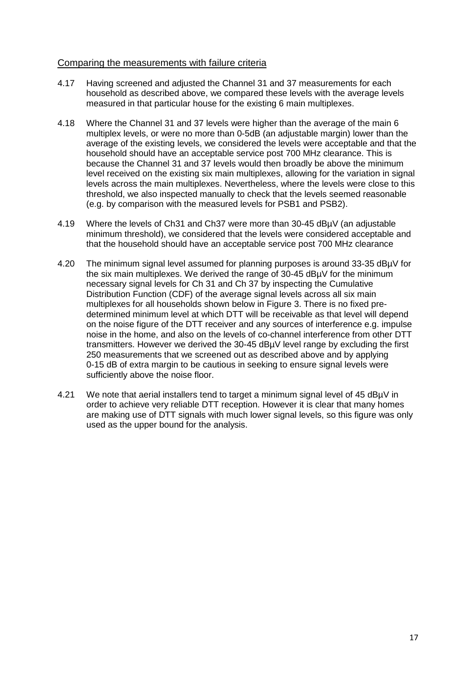#### Comparing the measurements with failure criteria

- 4.17 Having screened and adjusted the Channel 31 and 37 measurements for each household as described above, we compared these levels with the average levels measured in that particular house for the existing 6 main multiplexes.
- 4.18 Where the Channel 31 and 37 levels were higher than the average of the main 6 multiplex levels, or were no more than 0-5dB (an adjustable margin) lower than the average of the existing levels, we considered the levels were acceptable and that the household should have an acceptable service post 700 MHz clearance. This is because the Channel 31 and 37 levels would then broadly be above the minimum level received on the existing six main multiplexes, allowing for the variation in signal levels across the main multiplexes. Nevertheless, where the levels were close to this threshold, we also inspected manually to check that the levels seemed reasonable (e.g. by comparison with the measured levels for PSB1 and PSB2).
- 4.19 Where the levels of Ch31 and Ch37 were more than 30-45 dBµV (an adjustable minimum threshold), we considered that the levels were considered acceptable and that the household should have an acceptable service post 700 MHz clearance
- 4.20 The minimum signal level assumed for planning purposes is around 33-35 dBµV for the six main multiplexes. We derived the range of 30-45 dBµV for the minimum necessary signal levels for Ch 31 and Ch 37 by inspecting the Cumulative Distribution Function (CDF) of the average signal levels across all six main multiplexes for all households shown below in Figure 3. There is no fixed predetermined minimum level at which DTT will be receivable as that level will depend on the noise figure of the DTT receiver and any sources of interference e.g. impulse noise in the home, and also on the levels of co-channel interference from other DTT transmitters. However we derived the 30-45 dBµV level range by excluding the first 250 measurements that we screened out as described above and by applying 0-15 dB of extra margin to be cautious in seeking to ensure signal levels were sufficiently above the noise floor.
- 4.21 We note that aerial installers tend to target a minimum signal level of 45 dBµV in order to achieve very reliable DTT reception. However it is clear that many homes are making use of DTT signals with much lower signal levels, so this figure was only used as the upper bound for the analysis.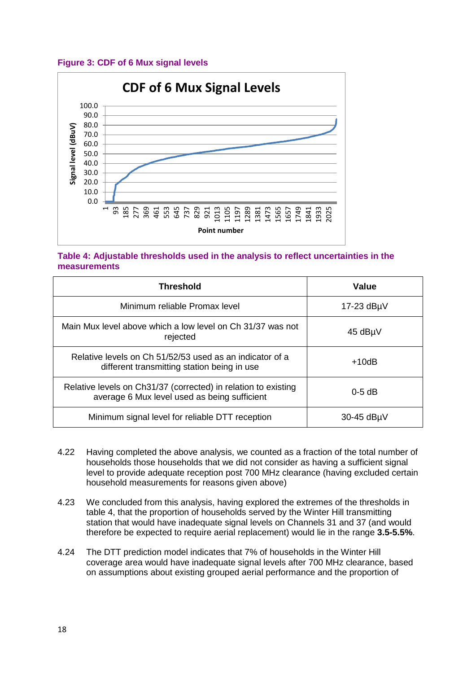#### **Figure 3: CDF of 6 Mux signal levels**



#### **Table 4: Adjustable thresholds used in the analysis to reflect uncertainties in the measurements**

| <b>Threshold</b>                                                                                               | Value              |
|----------------------------------------------------------------------------------------------------------------|--------------------|
| Minimum reliable Promax level                                                                                  | $17-23$ dB $\mu$ V |
| Main Mux level above which a low level on Ch 31/37 was not<br>rejected                                         | 45 dBµV            |
| Relative levels on Ch 51/52/53 used as an indicator of a<br>different transmitting station being in use        | $+10dB$            |
| Relative levels on Ch31/37 (corrected) in relation to existing<br>average 6 Mux level used as being sufficient | $0-5$ dB           |
| Minimum signal level for reliable DTT reception                                                                | 30-45 dBµV         |

- 4.22 Having completed the above analysis, we counted as a fraction of the total number of households those households that we did not consider as having a sufficient signal level to provide adequate reception post 700 MHz clearance (having excluded certain household measurements for reasons given above)
- 4.23 We concluded from this analysis, having explored the extremes of the thresholds in table 4, that the proportion of households served by the Winter Hill transmitting station that would have inadequate signal levels on Channels 31 and 37 (and would therefore be expected to require aerial replacement) would lie in the range **3.5-5.5%**.
- 4.24 The DTT prediction model indicates that 7% of households in the Winter Hill coverage area would have inadequate signal levels after 700 MHz clearance, based on assumptions about existing grouped aerial performance and the proportion of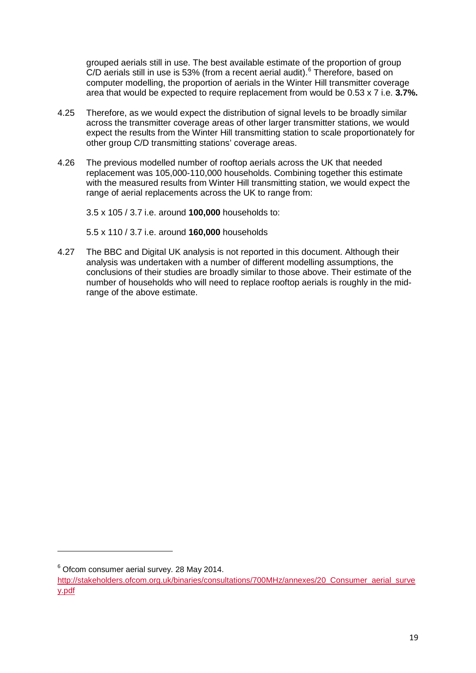grouped aerials still in use. The best available estimate of the proportion of group  $C/D$  aerials still in use is 53% (from a recent aerial audit). $6$  Therefore, based on computer modelling, the proportion of aerials in the Winter Hill transmitter coverage area that would be expected to require replacement from would be 0.53 x 7 i.e. **3.7%.**

- 4.25 Therefore, as we would expect the distribution of signal levels to be broadly similar across the transmitter coverage areas of other larger transmitter stations, we would expect the results from the Winter Hill transmitting station to scale proportionately for other group C/D transmitting stations' coverage areas.
- 4.26 The previous modelled number of rooftop aerials across the UK that needed replacement was 105,000-110,000 households. Combining together this estimate with the measured results from Winter Hill transmitting station, we would expect the range of aerial replacements across the UK to range from:

3.5 x 105 / 3.7 i.e. around **100,000** households to:

5.5 x 110 / 3.7 i.e. around **160,000** households

4.27 The BBC and Digital UK analysis is not reported in this document. Although their analysis was undertaken with a number of different modelling assumptions, the conclusions of their studies are broadly similar to those above. Their estimate of the number of households who will need to replace rooftop aerials is roughly in the midrange of the above estimate.

**.** 

<span id="page-18-0"></span><sup>6</sup> Ofcom consumer aerial survey. 28 May 2014.

[http://stakeholders.ofcom.org.uk/binaries/consultations/700MHz/annexes/20\\_Consumer\\_aerial\\_surve](http://stakeholders.ofcom.org.uk/binaries/consultations/700MHz/annexes/20_Consumer_aerial_survey.pdf) [y.pdf](http://stakeholders.ofcom.org.uk/binaries/consultations/700MHz/annexes/20_Consumer_aerial_survey.pdf)